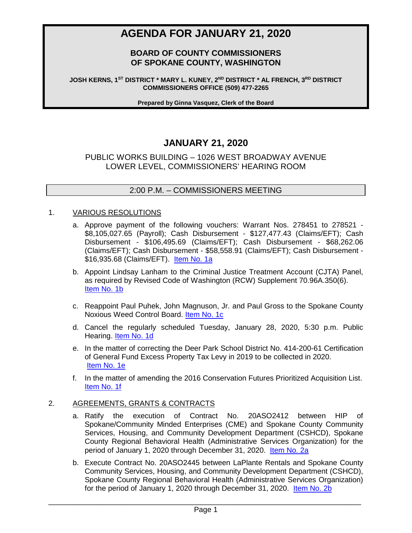# **AGENDA FOR JANUARY 21, 2020**

# **BOARD OF COUNTY COMMISSIONERS OF SPOKANE COUNTY, WASHINGTON**

**JOSH KERNS, 1ST DISTRICT \* MARY L. KUNEY, 2ND DISTRICT \* AL FRENCH, 3RD DISTRICT COMMISSIONERS OFFICE (509) 477-2265**

**Prepared by Ginna Vasquez, Clerk of the Board**

# **JANUARY 21, 2020**

## PUBLIC WORKS BUILDING – 1026 WEST BROADWAY AVENUE LOWER LEVEL, COMMISSIONERS' HEARING ROOM

### 2:00 P.M. – COMMISSIONERS MEETING

#### 1. VARIOUS RESOLUTIONS

- a. Approve payment of the following vouchers: Warrant Nos. 278451 to 278521 \$8,105,027.65 (Payroll); Cash Disbursement - \$127,477.43 (Claims/EFT); Cash Disbursement - \$106,495.69 (Claims/EFT); Cash Disbursement - \$68,262.06 (Claims/EFT); Cash Disbursement - \$58,558.91 (Claims/EFT); Cash Disbursement - \$16,935.68 (Claims/EFT). [Item No. 1a](https://www.spokanecounty.org/DocumentCenter/View/29660/Item-No-1a)
- b. Appoint Lindsay Lanham to the Criminal Justice Treatment Account (CJTA) Panel, as required by Revised Code of Washington (RCW) Supplement 70.96A.350(6). [Item No. 1b](https://www.spokanecounty.org/DocumentCenter/View/29676/Item-No-1b)
- c. Reappoint Paul Puhek, John Magnuson, Jr. and Paul Gross to the Spokane County Noxious Weed Control Board. [Item No. 1c](https://www.spokanecounty.org/DocumentCenter/View/29661/Item-No-1c)
- d. Cancel the regularly scheduled Tuesday, January 28, 2020, 5:30 p.m. Public Hearing. [Item No. 1d](https://www.spokanecounty.org/DocumentCenter/View/29662/Item-No-1d)
- e. In the matter of correcting the Deer Park School District No. 414-200-61 Certification of General Fund Excess Property Tax Levy in 2019 to be collected in 2020. [Item No. 1e](https://www.spokanecounty.org/DocumentCenter/View/29663/Item-No-1e)
- f. In the matter of amending the 2016 Conservation Futures Prioritized Acquisition List. [Item No. 1f](https://www.spokanecounty.org/DocumentCenter/View/29664/Item-No-1f)

#### 2. AGREEMENTS, GRANTS & CONTRACTS

- a. Ratify the execution of Contract No. 20ASO2412 between HIP of Spokane/Community Minded Enterprises (CME) and Spokane County Community Services, Housing, and Community Development Department (CSHCD), Spokane County Regional Behavioral Health (Administrative Services Organization) for the period of January 1, 2020 through December 31, 2020. [Item No. 2a](https://www.spokanecounty.org/DocumentCenter/View/29665/Item-No-2a)
- b. Execute Contract No. 20ASO2445 between LaPlante Rentals and Spokane County Community Services, Housing, and Community Development Department (CSHCD), Spokane County Regional Behavioral Health (Administrative Services Organization) for the period of January 1, 2020 through December 31, 2020. [Item No. 2b](https://www.spokanecounty.org/DocumentCenter/View/29666/Item-No-2b)